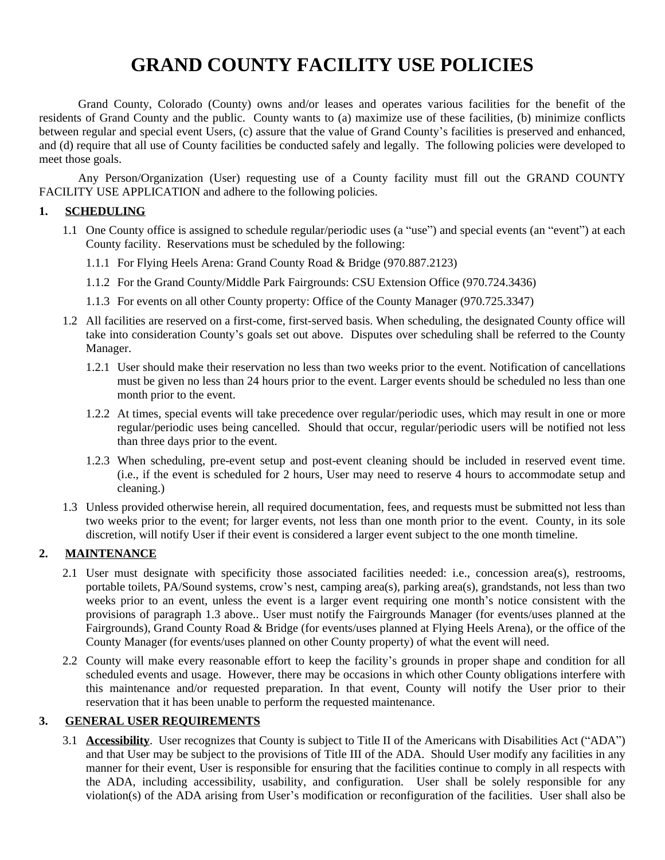# **GRAND COUNTY FACILITY USE POLICIES**

Grand County, Colorado (County) owns and/or leases and operates various facilities for the benefit of the residents of Grand County and the public. County wants to (a) maximize use of these facilities, (b) minimize conflicts between regular and special event Users, (c) assure that the value of Grand County's facilities is preserved and enhanced, and (d) require that all use of County facilities be conducted safely and legally. The following policies were developed to meet those goals.

Any Person/Organization (User) requesting use of a County facility must fill out the GRAND COUNTY FACILITY USE APPLICATION and adhere to the following policies.

#### **1. SCHEDULING**

- 1.1 One County office is assigned to schedule regular/periodic uses (a "use") and special events (an "event") at each County facility. Reservations must be scheduled by the following:
	- 1.1.1 For Flying Heels Arena: Grand County Road & Bridge (970.887.2123)
	- 1.1.2 For the Grand County/Middle Park Fairgrounds: CSU Extension Office (970.724.3436)
	- 1.1.3 For events on all other County property: Office of the County Manager (970.725.3347)
- 1.2 All facilities are reserved on a first-come, first-served basis. When scheduling, the designated County office will take into consideration County's goals set out above. Disputes over scheduling shall be referred to the County Manager.
	- 1.2.1 User should make their reservation no less than two weeks prior to the event. Notification of cancellations must be given no less than 24 hours prior to the event. Larger events should be scheduled no less than one month prior to the event.
	- 1.2.2 At times, special events will take precedence over regular/periodic uses, which may result in one or more regular/periodic uses being cancelled. Should that occur, regular/periodic users will be notified not less than three days prior to the event.
	- 1.2.3 When scheduling, pre-event setup and post-event cleaning should be included in reserved event time. (i.e., if the event is scheduled for 2 hours, User may need to reserve 4 hours to accommodate setup and cleaning.)
- 1.3 Unless provided otherwise herein, all required documentation, fees, and requests must be submitted not less than two weeks prior to the event; for larger events, not less than one month prior to the event. County, in its sole discretion, will notify User if their event is considered a larger event subject to the one month timeline.

#### **2. MAINTENANCE**

- 2.1 User must designate with specificity those associated facilities needed: i.e., concession area(s), restrooms, portable toilets, PA/Sound systems, crow's nest, camping area(s), parking area(s), grandstands, not less than two weeks prior to an event, unless the event is a larger event requiring one month's notice consistent with the provisions of paragraph 1.3 above.. User must notify the Fairgrounds Manager (for events/uses planned at the Fairgrounds), Grand County Road & Bridge (for events/uses planned at Flying Heels Arena), or the office of the County Manager (for events/uses planned on other County property) of what the event will need.
- 2.2 County will make every reasonable effort to keep the facility's grounds in proper shape and condition for all scheduled events and usage. However, there may be occasions in which other County obligations interfere with this maintenance and/or requested preparation. In that event, County will notify the User prior to their reservation that it has been unable to perform the requested maintenance.

#### **3. GENERAL USER REQUIREMENTS**

3.1 **Accessibility**. User recognizes that County is subject to Title II of the Americans with Disabilities Act ("ADA") and that User may be subject to the provisions of Title III of the ADA. Should User modify any facilities in any manner for their event, User is responsible for ensuring that the facilities continue to comply in all respects with the ADA, including accessibility, usability, and configuration. User shall be solely responsible for any violation(s) of the ADA arising from User's modification or reconfiguration of the facilities. User shall also be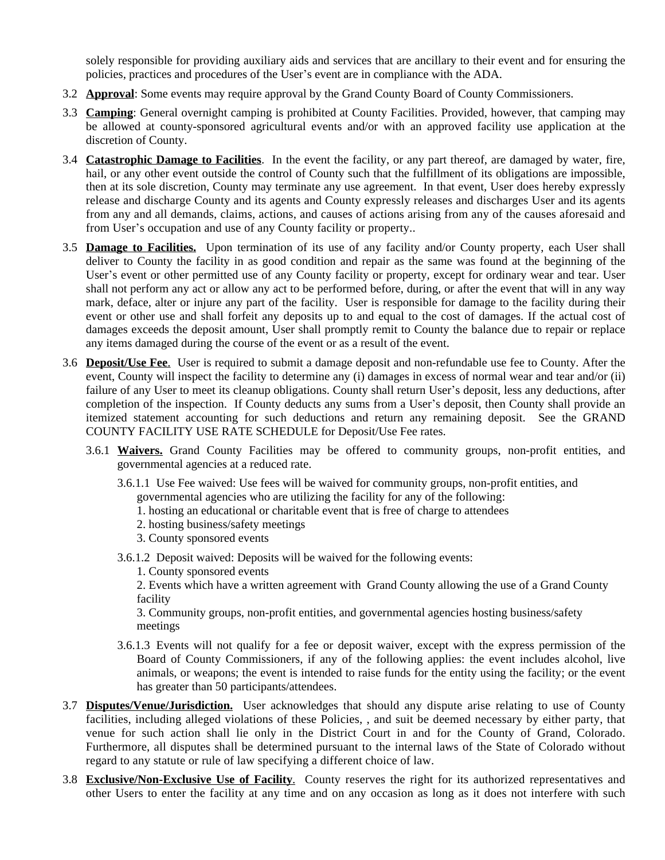solely responsible for providing auxiliary aids and services that are ancillary to their event and for ensuring the policies, practices and procedures of the User's event are in compliance with the ADA.

- 3.2 **Approval**: Some events may require approval by the Grand County Board of County Commissioners.
- 3.3 **Camping**: General overnight camping is prohibited at County Facilities. Provided, however, that camping may be allowed at county-sponsored agricultural events and/or with an approved facility use application at the discretion of County.
- 3.4 **Catastrophic Damage to Facilities**. In the event the facility, or any part thereof, are damaged by water, fire, hail, or any other event outside the control of County such that the fulfillment of its obligations are impossible, then at its sole discretion, County may terminate any use agreement. In that event, User does hereby expressly release and discharge County and its agents and County expressly releases and discharges User and its agents from any and all demands, claims, actions, and causes of actions arising from any of the causes aforesaid and from User's occupation and use of any County facility or property..
- 3.5 **Damage to Facilities.** Upon termination of its use of any facility and/or County property, each User shall deliver to County the facility in as good condition and repair as the same was found at the beginning of the User's event or other permitted use of any County facility or property, except for ordinary wear and tear. User shall not perform any act or allow any act to be performed before, during, or after the event that will in any way mark, deface, alter or injure any part of the facility. User is responsible for damage to the facility during their event or other use and shall forfeit any deposits up to and equal to the cost of damages. If the actual cost of damages exceeds the deposit amount, User shall promptly remit to County the balance due to repair or replace any items damaged during the course of the event or as a result of the event.
- 3.6 **Deposit/Use Fee**. User is required to submit a damage deposit and non-refundable use fee to County. After the event, County will inspect the facility to determine any (i) damages in excess of normal wear and tear and/or (ii) failure of any User to meet its cleanup obligations. County shall return User's deposit, less any deductions, after completion of the inspection. If County deducts any sums from a User's deposit, then County shall provide an itemized statement accounting for such deductions and return any remaining deposit. See the GRAND COUNTY FACILITY USE RATE SCHEDULE for Deposit/Use Fee rates.
	- 3.6.1 **Waivers.** Grand County Facilities may be offered to community groups, non-profit entities, and governmental agencies at a reduced rate.
		- 3.6.1.1 Use Fee waived: Use fees will be waived for community groups, non-profit entities, and
			- governmental agencies who are utilizing the facility for any of the following:
			- 1. hosting an educational or charitable event that is free of charge to attendees
			- 2. hosting business/safety meetings
			- 3. County sponsored events
		- 3.6.1.2 Deposit waived: Deposits will be waived for the following events:
			- 1. County sponsored events

2. Events which have a written agreement with Grand County allowing the use of a Grand County facility

3. Community groups, non-profit entities, and governmental agencies hosting business/safety meetings

- 3.6.1.3 Events will not qualify for a fee or deposit waiver, except with the express permission of the Board of County Commissioners, if any of the following applies: the event includes alcohol, live animals, or weapons; the event is intended to raise funds for the entity using the facility; or the event has greater than 50 participants/attendees.
- 3.7 **Disputes/Venue/Jurisdiction.** User acknowledges that should any dispute arise relating to use of County facilities, including alleged violations of these Policies, , and suit be deemed necessary by either party, that venue for such action shall lie only in the District Court in and for the County of Grand, Colorado. Furthermore, all disputes shall be determined pursuant to the internal laws of the State of Colorado without regard to any statute or rule of law specifying a different choice of law.
- 3.8 **Exclusive/Non-Exclusive Use of Facility**. County reserves the right for its authorized representatives and other Users to enter the facility at any time and on any occasion as long as it does not interfere with such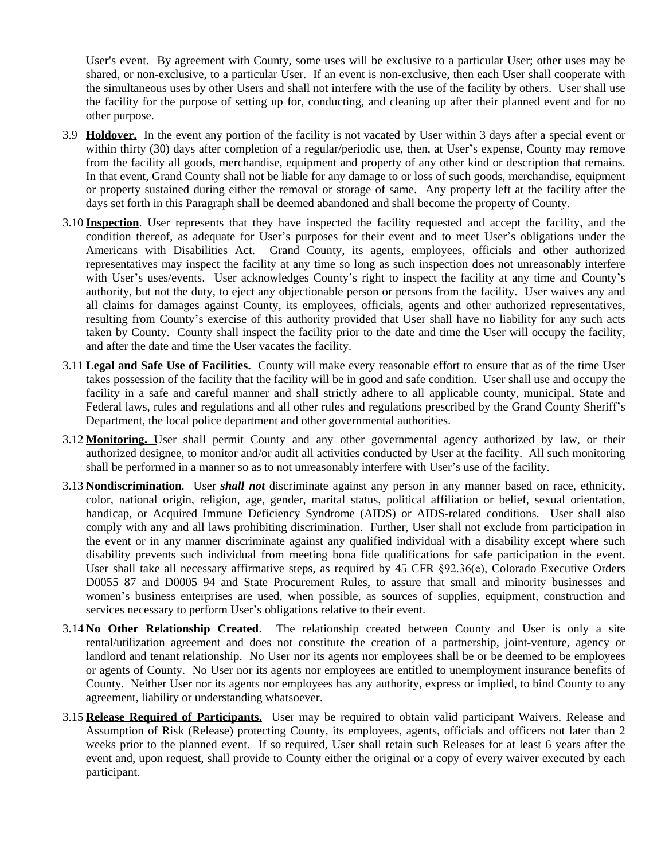User's event. By agreement with County, some uses will be exclusive to a particular User; other uses may be shared, or non-exclusive, to a particular User. If an event is non-exclusive, then each User shall cooperate with the simultaneous uses by other Users and shall not interfere with the use of the facility by others. User shall use the facility for the purpose of setting up for, conducting, and cleaning up after their planned event and for no other purpose.

- 3.9 **Holdover.** In the event any portion of the facility is not vacated by User within 3 days after a special event or within thirty (30) days after completion of a regular/periodic use, then, at User's expense, County may remove from the facility all goods, merchandise, equipment and property of any other kind or description that remains. In that event, Grand County shall not be liable for any damage to or loss of such goods, merchandise, equipment or property sustained during either the removal or storage of same. Any property left at the facility after the days set forth in this Paragraph shall be deemed abandoned and shall become the property of County.
- 3.10 **Inspection**. User represents that they have inspected the facility requested and accept the facility, and the condition thereof, as adequate for User's purposes for their event and to meet User's obligations under the Americans with Disabilities Act. Grand County, its agents, employees, officials and other authorized representatives may inspect the facility at any time so long as such inspection does not unreasonably interfere with User's uses/events. User acknowledges County's right to inspect the facility at any time and County's authority, but not the duty, to eject any objectionable person or persons from the facility. User waives any and all claims for damages against County, its employees, officials, agents and other authorized representatives, resulting from County's exercise of this authority provided that User shall have no liability for any such acts taken by County. County shall inspect the facility prior to the date and time the User will occupy the facility, and after the date and time the User vacates the facility.
- 3.11 **Legal and Safe Use of Facilities.** County will make every reasonable effort to ensure that as of the time User takes possession of the facility that the facility will be in good and safe condition. User shall use and occupy the facility in a safe and careful manner and shall strictly adhere to all applicable county, municipal, State and Federal laws, rules and regulations and all other rules and regulations prescribed by the Grand County Sheriff's Department, the local police department and other governmental authorities.
- 3.12 **Monitoring.** User shall permit County and any other governmental agency authorized by law, or their authorized designee, to monitor and/or audit all activities conducted by User at the facility. All such monitoring shall be performed in a manner so as to not unreasonably interfere with User's use of the facility.
- 3.13 **Nondiscrimination**. User *shall not* discriminate against any person in any manner based on race, ethnicity, color, national origin, religion, age, gender, marital status, political affiliation or belief, sexual orientation, handicap, or Acquired Immune Deficiency Syndrome (AIDS) or AIDS-related conditions. User shall also comply with any and all laws prohibiting discrimination. Further, User shall not exclude from participation in the event or in any manner discriminate against any qualified individual with a disability except where such disability prevents such individual from meeting bona fide qualifications for safe participation in the event. User shall take all necessary affirmative steps, as required by 45 CFR  $\S 92.36(e)$ , Colorado Executive Orders D0055 87 and D0005 94 and State Procurement Rules, to assure that small and minority businesses and women's business enterprises are used, when possible, as sources of supplies, equipment, construction and services necessary to perform User's obligations relative to their event.
- 3.14 **No Other Relationship Created**. The relationship created between County and User is only a site rental/utilization agreement and does not constitute the creation of a partnership, joint-venture, agency or landlord and tenant relationship. No User nor its agents nor employees shall be or be deemed to be employees or agents of County. No User nor its agents nor employees are entitled to unemployment insurance benefits of County. Neither User nor its agents nor employees has any authority, express or implied, to bind County to any agreement, liability or understanding whatsoever.
- 3.15 **Release Required of Participants.** User may be required to obtain valid participant Waivers, Release and Assumption of Risk (Release) protecting County, its employees, agents, officials and officers not later than 2 weeks prior to the planned event. If so required, User shall retain such Releases for at least 6 years after the event and, upon request, shall provide to County either the original or a copy of every waiver executed by each participant.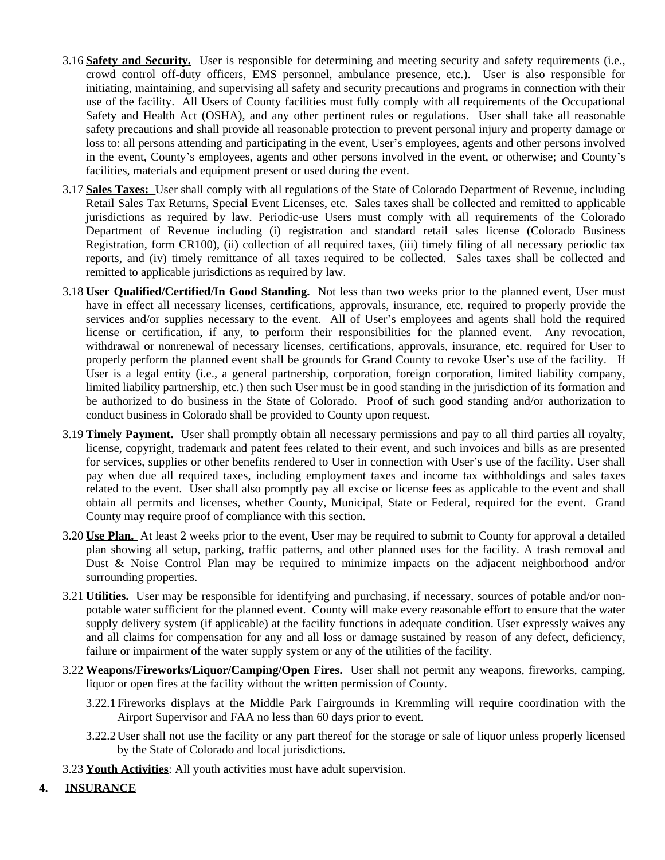- 3.16 **Safety and Security.** User is responsible for determining and meeting security and safety requirements (i.e., crowd control off-duty officers, EMS personnel, ambulance presence, etc.). User is also responsible for initiating, maintaining, and supervising all safety and security precautions and programs in connection with their use of the facility. All Users of County facilities must fully comply with all requirements of the Occupational Safety and Health Act (OSHA), and any other pertinent rules or regulations. User shall take all reasonable safety precautions and shall provide all reasonable protection to prevent personal injury and property damage or loss to: all persons attending and participating in the event, User's employees, agents and other persons involved in the event, County's employees, agents and other persons involved in the event, or otherwise; and County's facilities, materials and equipment present or used during the event.
- 3.17 **Sales Taxes:** User shall comply with all regulations of the State of Colorado Department of Revenue, including Retail Sales Tax Returns, Special Event Licenses, etc. Sales taxes shall be collected and remitted to applicable jurisdictions as required by law. Periodic-use Users must comply with all requirements of the Colorado Department of Revenue including (i) registration and standard retail sales license (Colorado Business Registration, form CR100), (ii) collection of all required taxes, (iii) timely filing of all necessary periodic tax reports, and (iv) timely remittance of all taxes required to be collected. Sales taxes shall be collected and remitted to applicable jurisdictions as required by law.
- 3.18 **User Qualified/Certified/In Good Standing.** Not less than two weeks prior to the planned event, User must have in effect all necessary licenses, certifications, approvals, insurance, etc. required to properly provide the services and/or supplies necessary to the event. All of User's employees and agents shall hold the required license or certification, if any, to perform their responsibilities for the planned event. Any revocation, withdrawal or nonrenewal of necessary licenses, certifications, approvals, insurance, etc. required for User to properly perform the planned event shall be grounds for Grand County to revoke User's use of the facility. If User is a legal entity (i.e., a general partnership, corporation, foreign corporation, limited liability company, limited liability partnership, etc.) then such User must be in good standing in the jurisdiction of its formation and be authorized to do business in the State of Colorado. Proof of such good standing and/or authorization to conduct business in Colorado shall be provided to County upon request.
- 3.19 **Timely Payment.** User shall promptly obtain all necessary permissions and pay to all third parties all royalty, license, copyright, trademark and patent fees related to their event, and such invoices and bills as are presented for services, supplies or other benefits rendered to User in connection with User's use of the facility. User shall pay when due all required taxes, including employment taxes and income tax withholdings and sales taxes related to the event. User shall also promptly pay all excise or license fees as applicable to the event and shall obtain all permits and licenses, whether County, Municipal, State or Federal, required for the event. Grand County may require proof of compliance with this section.
- 3.20 **Use Plan.** At least 2 weeks prior to the event, User may be required to submit to County for approval a detailed plan showing all setup, parking, traffic patterns, and other planned uses for the facility. A trash removal and Dust & Noise Control Plan may be required to minimize impacts on the adjacent neighborhood and/or surrounding properties.
- 3.21 **Utilities.** User may be responsible for identifying and purchasing, if necessary, sources of potable and/or nonpotable water sufficient for the planned event. County will make every reasonable effort to ensure that the water supply delivery system (if applicable) at the facility functions in adequate condition. User expressly waives any and all claims for compensation for any and all loss or damage sustained by reason of any defect, deficiency, failure or impairment of the water supply system or any of the utilities of the facility.
- 3.22 **Weapons/Fireworks/Liquor/Camping/Open Fires.** User shall not permit any weapons, fireworks, camping, liquor or open fires at the facility without the written permission of County.
	- 3.22.1Fireworks displays at the Middle Park Fairgrounds in Kremmling will require coordination with the Airport Supervisor and FAA no less than 60 days prior to event.
	- 3.22.2User shall not use the facility or any part thereof for the storage or sale of liquor unless properly licensed by the State of Colorado and local jurisdictions.
- 3.23 **Youth Activities**: All youth activities must have adult supervision.

## **4. INSURANCE**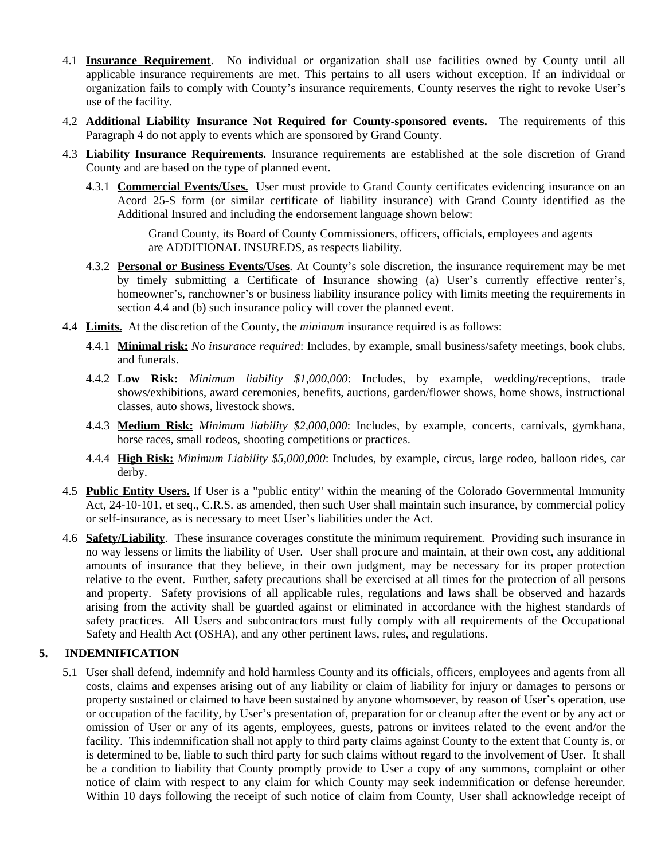- 4.1 **Insurance Requirement**. No individual or organization shall use facilities owned by County until all applicable insurance requirements are met. This pertains to all users without exception. If an individual or organization fails to comply with County's insurance requirements, County reserves the right to revoke User's use of the facility.
- 4.2 **Additional Liability Insurance Not Required for County-sponsored events.** The requirements of this Paragraph 4 do not apply to events which are sponsored by Grand County.
- 4.3 **Liability Insurance Requirements.** Insurance requirements are established at the sole discretion of Grand County and are based on the type of planned event.
	- 4.3.1 **Commercial Events/Uses.** User must provide to Grand County certificates evidencing insurance on an Acord 25-S form (or similar certificate of liability insurance) with Grand County identified as the Additional Insured and including the endorsement language shown below:

Grand County, its Board of County Commissioners, officers, officials, employees and agents are ADDITIONAL INSUREDS, as respects liability.

- 4.3.2 **Personal or Business Events/Uses**. At County's sole discretion, the insurance requirement may be met by timely submitting a Certificate of Insurance showing (a) User's currently effective renter's, homeowner's, ranchowner's or business liability insurance policy with limits meeting the requirements in section 4.4 and (b) such insurance policy will cover the planned event.
- 4.4 **Limits.** At the discretion of the County, the *minimum* insurance required is as follows:
	- 4.4.1 **Minimal risk:** *No insurance required*: Includes, by example, small business/safety meetings, book clubs, and funerals.
	- 4.4.2 **Low Risk:** *Minimum liability \$1,000,000*: Includes, by example, wedding/receptions, trade shows/exhibitions, award ceremonies, benefits, auctions, garden/flower shows, home shows, instructional classes, auto shows, livestock shows.
	- 4.4.3 **Medium Risk:** *Minimum liability \$2,000,000*: Includes, by example, concerts, carnivals, gymkhana, horse races, small rodeos, shooting competitions or practices.
	- 4.4.4 **High Risk:** *Minimum Liability \$5,000,000*: Includes, by example, circus, large rodeo, balloon rides, car derby.
- 4.5 **Public Entity Users.** If User is a "public entity" within the meaning of the Colorado Governmental Immunity Act, 24-10-101, et seq., C.R.S. as amended, then such User shall maintain such insurance, by commercial policy or self-insurance, as is necessary to meet User's liabilities under the Act.
- 4.6 **Safety/Liability**. These insurance coverages constitute the minimum requirement. Providing such insurance in no way lessens or limits the liability of User. User shall procure and maintain, at their own cost, any additional amounts of insurance that they believe, in their own judgment, may be necessary for its proper protection relative to the event. Further, safety precautions shall be exercised at all times for the protection of all persons and property. Safety provisions of all applicable rules, regulations and laws shall be observed and hazards arising from the activity shall be guarded against or eliminated in accordance with the highest standards of safety practices. All Users and subcontractors must fully comply with all requirements of the Occupational Safety and Health Act (OSHA), and any other pertinent laws, rules, and regulations.

## **5. INDEMNIFICATION**

5.1 User shall defend, indemnify and hold harmless County and its officials, officers, employees and agents from all costs, claims and expenses arising out of any liability or claim of liability for injury or damages to persons or property sustained or claimed to have been sustained by anyone whomsoever, by reason of User's operation, use or occupation of the facility, by User's presentation of, preparation for or cleanup after the event or by any act or omission of User or any of its agents, employees, guests, patrons or invitees related to the event and/or the facility. This indemnification shall not apply to third party claims against County to the extent that County is, or is determined to be, liable to such third party for such claims without regard to the involvement of User. It shall be a condition to liability that County promptly provide to User a copy of any summons, complaint or other notice of claim with respect to any claim for which County may seek indemnification or defense hereunder. Within 10 days following the receipt of such notice of claim from County, User shall acknowledge receipt of